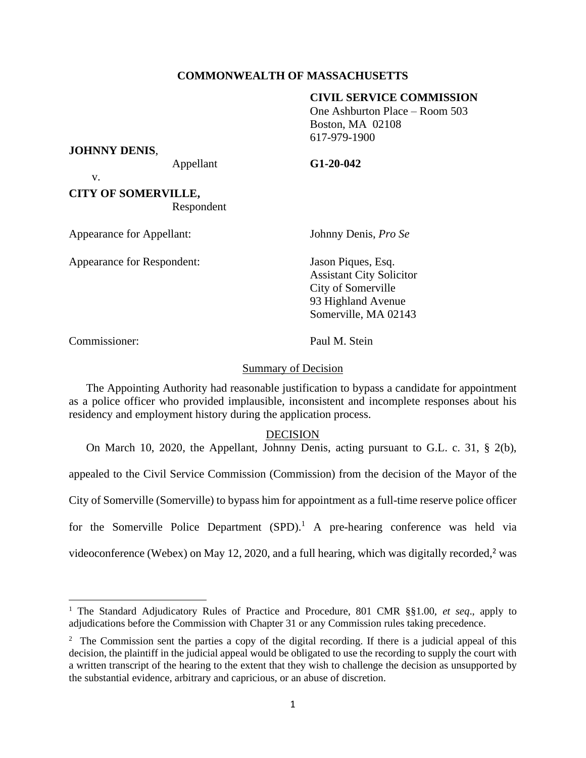# **COMMONWEALTH OF MASSACHUSETTS**

## **CIVIL SERVICE COMMISSION**

One Ashburton Place – Room 503 Boston, MA 02108 617-979-1900

#### **JOHNNY DENIS**,

v.

### Appellant **G1-20-042**

**CITY OF SOMERVILLE,** Respondent

Appearance for Appellant: Johnny Denis, *Pro Se*

Appearance for Respondent: Jason Piques, Esq.

Assistant City Solicitor City of Somerville 93 Highland Avenue Somerville, MA 02143

Commissioner: Paul M. Stein

## Summary of Decision

The Appointing Authority had reasonable justification to bypass a candidate for appointment as a police officer who provided implausible, inconsistent and incomplete responses about his residency and employment history during the application process.

## DECISION

On March 10, 2020, the Appellant, Johnny Denis, acting pursuant to G.L. c. 31, § 2(b), appealed to the Civil Service Commission (Commission) from the decision of the Mayor of the City of Somerville (Somerville) to bypass him for appointment as a full-time reserve police officer for the Somerville Police Department  $(SPD)$ .<sup>1</sup> A pre-hearing conference was held via videoconference (Webex) on May 12, 2020, and a full hearing, which was digitally recorded,<sup>2</sup> was

<sup>1</sup> The Standard Adjudicatory Rules of Practice and Procedure, 801 CMR §§1.00, *et seq*., apply to adjudications before the Commission with Chapter 31 or any Commission rules taking precedence.

<sup>&</sup>lt;sup>2</sup> The Commission sent the parties a copy of the digital recording. If there is a judicial appeal of this decision, the plaintiff in the judicial appeal would be obligated to use the recording to supply the court with a written transcript of the hearing to the extent that they wish to challenge the decision as unsupported by the substantial evidence, arbitrary and capricious, or an abuse of discretion.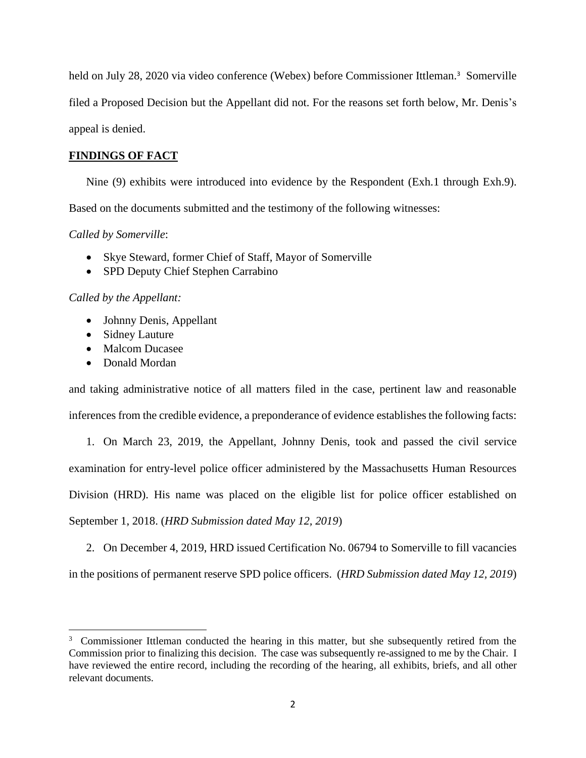held on July 28, 2020 via video conference (Webex) before Commissioner Ittleman. <sup>3</sup> Somerville filed a Proposed Decision but the Appellant did not. For the reasons set forth below, Mr. Denis's appeal is denied.

# **FINDINGS OF FACT**

Nine (9) exhibits were introduced into evidence by the Respondent (Exh.1 through Exh.9).

Based on the documents submitted and the testimony of the following witnesses:

*Called by Somerville*:

- Skye Steward, former Chief of Staff, Mayor of Somerville
- SPD Deputy Chief Stephen Carrabino

# *Called by the Appellant:*

- Johnny Denis, Appellant
- Sidney Lauture
- Malcom Ducasee
- Donald Mordan

and taking administrative notice of all matters filed in the case, pertinent law and reasonable inferences from the credible evidence, a preponderance of evidence establishes the following facts:

1. On March 23, 2019, the Appellant, Johnny Denis, took and passed the civil service examination for entry-level police officer administered by the Massachusetts Human Resources Division (HRD). His name was placed on the eligible list for police officer established on September 1, 2018. (*HRD Submission dated May 12, 2019*)

2. On December 4, 2019, HRD issued Certification No. 06794 to Somerville to fill vacancies in the positions of permanent reserve SPD police officers. (*HRD Submission dated May 12, 2019*)

<sup>&</sup>lt;sup>3</sup> Commissioner Ittleman conducted the hearing in this matter, but she subsequently retired from the Commission prior to finalizing this decision. The case was subsequently re-assigned to me by the Chair. I have reviewed the entire record, including the recording of the hearing, all exhibits, briefs, and all other relevant documents.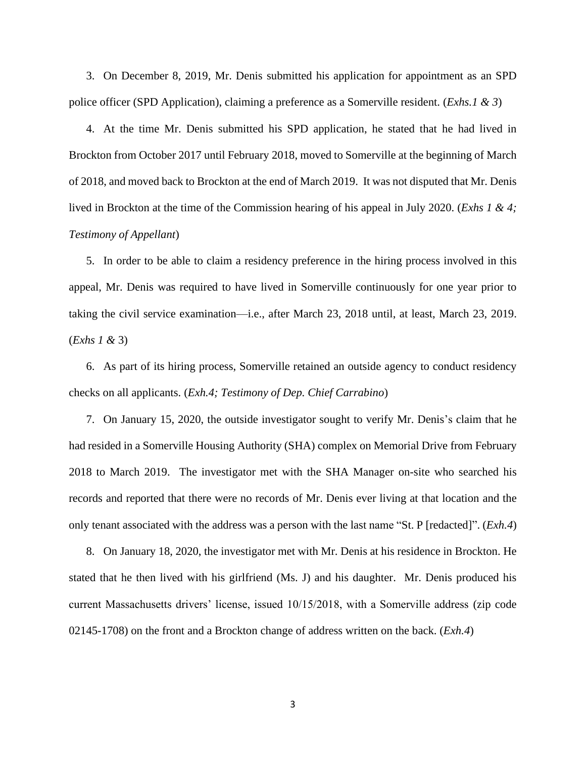3. On December 8, 2019, Mr. Denis submitted his application for appointment as an SPD police officer (SPD Application), claiming a preference as a Somerville resident. (*Exhs.1 & 3*)

4. At the time Mr. Denis submitted his SPD application, he stated that he had lived in Brockton from October 2017 until February 2018, moved to Somerville at the beginning of March of 2018, and moved back to Brockton at the end of March 2019. It was not disputed that Mr. Denis lived in Brockton at the time of the Commission hearing of his appeal in July 2020. (*Exhs 1 & 4; Testimony of Appellant*)

5. In order to be able to claim a residency preference in the hiring process involved in this appeal, Mr. Denis was required to have lived in Somerville continuously for one year prior to taking the civil service examination—i.e., after March 23, 2018 until, at least, March 23, 2019. (*Exhs 1 &* 3)

6. As part of its hiring process, Somerville retained an outside agency to conduct residency checks on all applicants. (*Exh.4; Testimony of Dep. Chief Carrabino*)

7. On January 15, 2020, the outside investigator sought to verify Mr. Denis's claim that he had resided in a Somerville Housing Authority (SHA) complex on Memorial Drive from February 2018 to March 2019. The investigator met with the SHA Manager on-site who searched his records and reported that there were no records of Mr. Denis ever living at that location and the only tenant associated with the address was a person with the last name "St. P [redacted]". (*Exh.4*)

8. On January 18, 2020, the investigator met with Mr. Denis at his residence in Brockton. He stated that he then lived with his girlfriend (Ms. J) and his daughter. Mr. Denis produced his current Massachusetts drivers' license, issued 10/15/2018, with a Somerville address (zip code 02145-1708) on the front and a Brockton change of address written on the back. (*Exh.4*)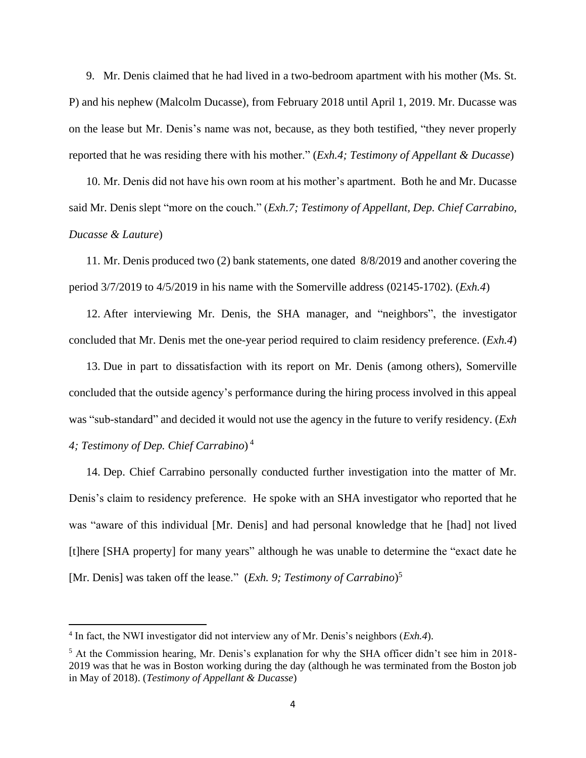9. Mr. Denis claimed that he had lived in a two-bedroom apartment with his mother (Ms. St. P) and his nephew (Malcolm Ducasse), from February 2018 until April 1, 2019. Mr. Ducasse was on the lease but Mr. Denis's name was not, because, as they both testified, "they never properly reported that he was residing there with his mother." (*Exh.4; Testimony of Appellant & Ducasse*)

10. Mr. Denis did not have his own room at his mother's apartment. Both he and Mr. Ducasse said Mr. Denis slept "more on the couch." (*Exh.7; Testimony of Appellant, Dep. Chief Carrabino, Ducasse & Lauture*)

11. Mr. Denis produced two (2) bank statements, one dated 8/8/2019 and another covering the period 3/7/2019 to 4/5/2019 in his name with the Somerville address (02145-1702). (*Exh.4*)

12. After interviewing Mr. Denis, the SHA manager, and "neighbors", the investigator concluded that Mr. Denis met the one-year period required to claim residency preference. (*Exh.4*)

13. Due in part to dissatisfaction with its report on Mr. Denis (among others), Somerville concluded that the outside agency's performance during the hiring process involved in this appeal was "sub-standard" and decided it would not use the agency in the future to verify residency. (*Exh 4; Testimony of Dep. Chief Carrabino*) 4

14. Dep. Chief Carrabino personally conducted further investigation into the matter of Mr. Denis's claim to residency preference. He spoke with an SHA investigator who reported that he was "aware of this individual [Mr. Denis] and had personal knowledge that he [had] not lived [t]here [SHA property] for many years" although he was unable to determine the "exact date he [Mr. Denis] was taken off the lease." (*Exh. 9; Testimony of Carrabino*) 5

<sup>4</sup> In fact, the NWI investigator did not interview any of Mr. Denis's neighbors (*Exh.4*).

<sup>&</sup>lt;sup>5</sup> At the Commission hearing, Mr. Denis's explanation for why the SHA officer didn't see him in 2018-2019 was that he was in Boston working during the day (although he was terminated from the Boston job in May of 2018). (*Testimony of Appellant & Ducasse*)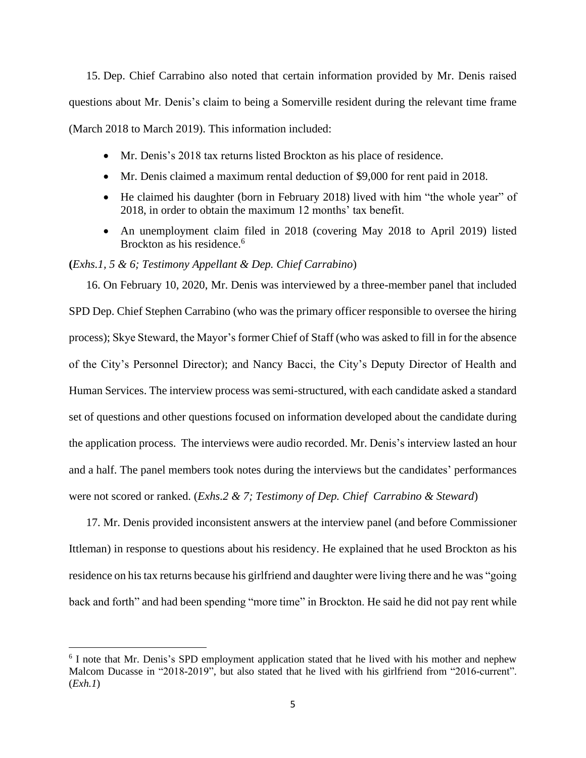15. Dep. Chief Carrabino also noted that certain information provided by Mr. Denis raised questions about Mr. Denis's claim to being a Somerville resident during the relevant time frame (March 2018 to March 2019). This information included:

- Mr. Denis's 2018 tax returns listed Brockton as his place of residence.
- Mr. Denis claimed a maximum rental deduction of \$9,000 for rent paid in 2018.
- He claimed his daughter (born in February 2018) lived with him "the whole year" of 2018, in order to obtain the maximum 12 months' tax benefit.
- An unemployment claim filed in 2018 (covering May 2018 to April 2019) listed Brockton as his residence.<sup>6</sup>

## **(***Exhs.1, 5 & 6; Testimony Appellant & Dep. Chief Carrabino*)

16. On February 10, 2020, Mr. Denis was interviewed by a three-member panel that included SPD Dep. Chief Stephen Carrabino (who was the primary officer responsible to oversee the hiring process); Skye Steward, the Mayor's former Chief of Staff (who was asked to fill in for the absence of the City's Personnel Director); and Nancy Bacci, the City's Deputy Director of Health and Human Services. The interview process was semi-structured, with each candidate asked a standard set of questions and other questions focused on information developed about the candidate during the application process. The interviews were audio recorded. Mr. Denis's interview lasted an hour and a half. The panel members took notes during the interviews but the candidates' performances were not scored or ranked. (*Exhs.2 & 7; Testimony of Dep. Chief Carrabino & Steward*)

17. Mr. Denis provided inconsistent answers at the interview panel (and before Commissioner Ittleman) in response to questions about his residency. He explained that he used Brockton as his residence on his tax returns because his girlfriend and daughter were living there and he was "going back and forth" and had been spending "more time" in Brockton. He said he did not pay rent while

<sup>&</sup>lt;sup>6</sup> I note that Mr. Denis's SPD employment application stated that he lived with his mother and nephew Malcom Ducasse in "2018-2019", but also stated that he lived with his girlfriend from "2016-current". (*Exh.1*)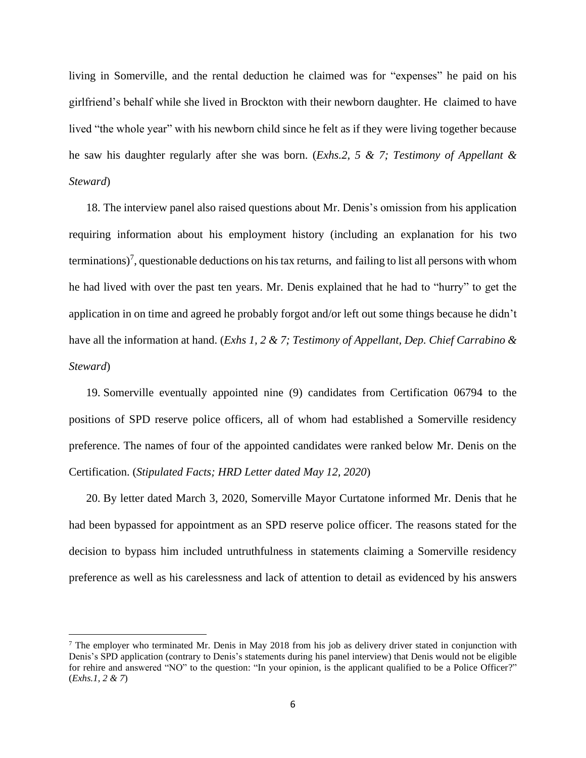living in Somerville, and the rental deduction he claimed was for "expenses" he paid on his girlfriend's behalf while she lived in Brockton with their newborn daughter. He claimed to have lived "the whole year" with his newborn child since he felt as if they were living together because he saw his daughter regularly after she was born. (*Exhs.2, 5 & 7; Testimony of Appellant & Steward*)

18. The interview panel also raised questions about Mr. Denis's omission from his application requiring information about his employment history (including an explanation for his two terminations)<sup>7</sup>, questionable deductions on his tax returns, and failing to list all persons with whom he had lived with over the past ten years. Mr. Denis explained that he had to "hurry" to get the application in on time and agreed he probably forgot and/or left out some things because he didn't have all the information at hand. (*Exhs 1, 2 & 7; Testimony of Appellant, Dep. Chief Carrabino & Steward*)

19. Somerville eventually appointed nine (9) candidates from Certification 06794 to the positions of SPD reserve police officers, all of whom had established a Somerville residency preference. The names of four of the appointed candidates were ranked below Mr. Denis on the Certification. (*Stipulated Facts; HRD Letter dated May 12, 2020*)

20. By letter dated March 3, 2020, Somerville Mayor Curtatone informed Mr. Denis that he had been bypassed for appointment as an SPD reserve police officer. The reasons stated for the decision to bypass him included untruthfulness in statements claiming a Somerville residency preference as well as his carelessness and lack of attention to detail as evidenced by his answers

<sup>7</sup> The employer who terminated Mr. Denis in May 2018 from his job as delivery driver stated in conjunction with Denis's SPD application (contrary to Denis's statements during his panel interview) that Denis would not be eligible for rehire and answered "NO" to the question: "In your opinion, is the applicant qualified to be a Police Officer?" (*Exhs.1, 2 & 7*)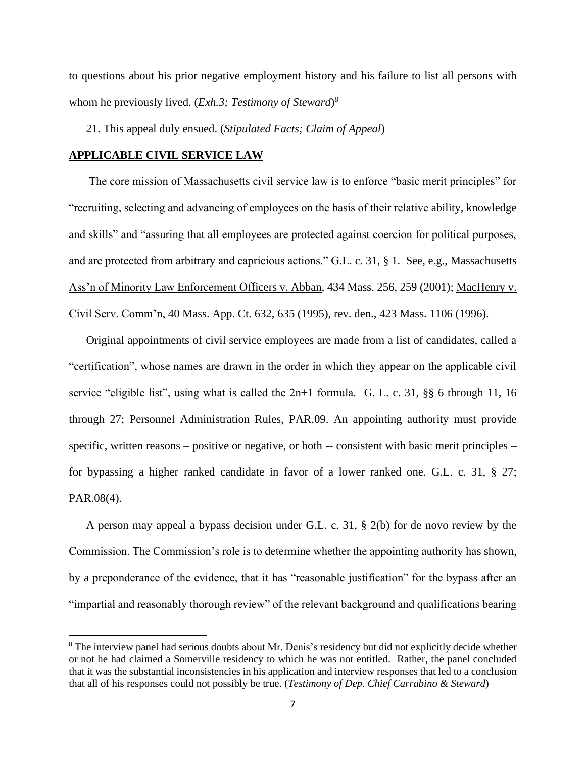to questions about his prior negative employment history and his failure to list all persons with whom he previously lived. (*Exh.3; Testimony of Steward*) 8

21. This appeal duly ensued. (*Stipulated Facts; Claim of Appeal*)

#### **APPLICABLE CIVIL SERVICE LAW**

 The core mission of Massachusetts civil service law is to enforce "basic merit principles" for "recruiting, selecting and advancing of employees on the basis of their relative ability, knowledge and skills" and "assuring that all employees are protected against coercion for political purposes, and are protected from arbitrary and capricious actions." G.L. c. 31, § 1. See, e.g., Massachusetts Ass'n of Minority Law Enforcement Officers v. Abban, 434 Mass. 256, 259 (2001); MacHenry v. Civil Serv. Comm'n, 40 Mass. App. Ct. 632, 635 (1995), rev. den., 423 Mass. 1106 (1996).

Original appointments of civil service employees are made from a list of candidates, called a "certification", whose names are drawn in the order in which they appear on the applicable civil service "eligible list", using what is called the 2n+1 formula. G. L. c. 31, §§ 6 through 11, 16 through 27; Personnel Administration Rules, PAR.09. An appointing authority must provide specific, written reasons – positive or negative, or both -- consistent with basic merit principles – for bypassing a higher ranked candidate in favor of a lower ranked one. G.L. c. 31, § 27; PAR.08(4).

A person may appeal a bypass decision under G.L. c. 31, § 2(b) for de novo review by the Commission. The Commission's role is to determine whether the appointing authority has shown, by a preponderance of the evidence, that it has "reasonable justification" for the bypass after an "impartial and reasonably thorough review" of the relevant background and qualifications bearing

<sup>&</sup>lt;sup>8</sup> The interview panel had serious doubts about Mr. Denis's residency but did not explicitly decide whether or not he had claimed a Somerville residency to which he was not entitled. Rather, the panel concluded that it was the substantial inconsistencies in his application and interview responses that led to a conclusion that all of his responses could not possibly be true. (*Testimony of Dep. Chief Carrabino & Steward*)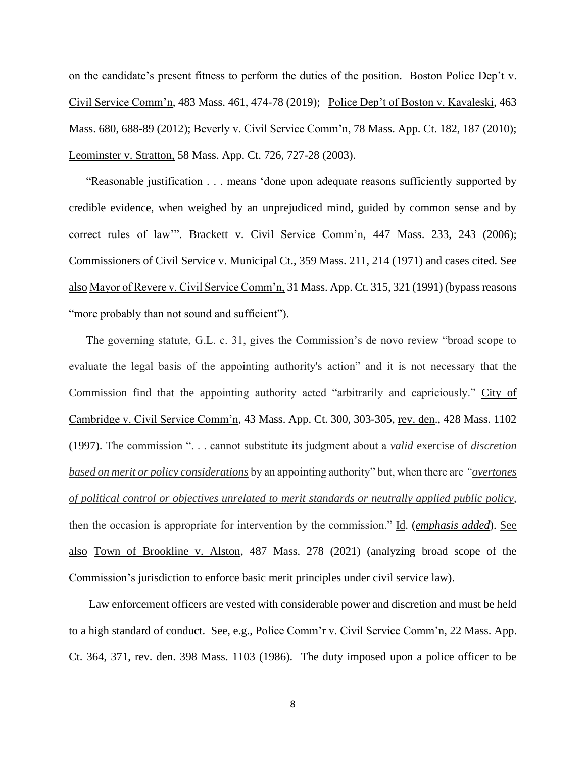on the candidate's present fitness to perform the duties of the position. Boston Police Dep't v. Civil Service Comm'n, 483 Mass. 461, 474-78 (2019); Police Dep't of Boston v. Kavaleski, 463 Mass. 680, 688-89 (2012); Beverly v. Civil Service Comm'n, 78 Mass. App. Ct. 182, 187 (2010); Leominster v. Stratton, 58 Mass. App. Ct. 726, 727-28 (2003).

"Reasonable justification . . . means 'done upon adequate reasons sufficiently supported by credible evidence, when weighed by an unprejudiced mind, guided by common sense and by correct rules of law'". Brackett v. Civil Service Comm'n, 447 Mass. 233, 243 (2006); Commissioners of Civil Service v. Municipal Ct., 359 Mass. 211, 214 (1971) and cases cited. See also Mayor of Revere v. Civil Service Comm'n, 31 Mass. App. Ct. 315, 321 (1991) (bypass reasons "more probably than not sound and sufficient").

The governing statute, G.L. c. 31, gives the Commission's de novo review "broad scope to evaluate the legal basis of the appointing authority's action" and it is not necessary that the Commission find that the appointing authority acted "arbitrarily and capriciously." City of Cambridge v. Civil Service Comm'n, 43 Mass. App. Ct. 300, 303-305, rev. den., 428 Mass. 1102 (1997). The commission ". . . cannot substitute its judgment about a *valid* exercise of *discretion based on merit or policy considerations* by an appointing authority" but, when there are *"overtones of political control or objectives unrelated to merit standards or neutrally applied public policy*, then the occasion is appropriate for intervention by the commission." Id. (*emphasis added*). See also Town of Brookline v. Alston, 487 Mass. 278 (2021) (analyzing broad scope of the Commission's jurisdiction to enforce basic merit principles under civil service law).

 Law enforcement officers are vested with considerable power and discretion and must be held to a high standard of conduct. See, e.g., Police Comm'r v. Civil Service Comm'n, 22 Mass. App. Ct. 364, 371, rev. den. 398 Mass. 1103 (1986). The duty imposed upon a police officer to be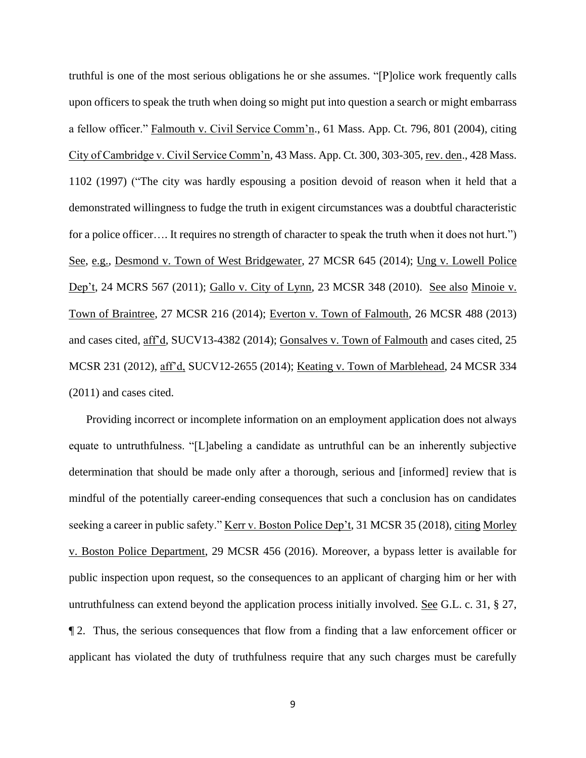truthful is one of the most serious obligations he or she assumes. "[P]olice work frequently calls upon officers to speak the truth when doing so might put into question a search or might embarrass a fellow officer." Falmouth v. Civil Service Comm'n., 61 Mass. App. Ct. 796, 801 (2004), citing City of Cambridge v. Civil Service Comm'n, 43 Mass. App. Ct. 300, 303-305, rev. den., 428 Mass. 1102 (1997) ("The city was hardly espousing a position devoid of reason when it held that a demonstrated willingness to fudge the truth in exigent circumstances was a doubtful characteristic for a police officer…. It requires no strength of character to speak the truth when it does not hurt.") See, e.g., Desmond v. Town of West Bridgewater, 27 MCSR 645 (2014); Ung v. Lowell Police Dep't, 24 MCRS 567 (2011); Gallo v. City of Lynn, 23 MCSR 348 (2010). See also Minoie v. Town of Braintree, 27 MCSR 216 (2014); Everton v. Town of Falmouth, 26 MCSR 488 (2013) and cases cited, aff'd, SUCV13-4382 (2014); Gonsalves v. Town of Falmouth and cases cited, 25 MCSR 231 (2012), aff'd, SUCV12-2655 (2014); Keating v. Town of Marblehead, 24 MCSR 334 (2011) and cases cited.

Providing incorrect or incomplete information on an employment application does not always equate to untruthfulness. "[L]abeling a candidate as untruthful can be an inherently subjective determination that should be made only after a thorough, serious and [informed] review that is mindful of the potentially career-ending consequences that such a conclusion has on candidates seeking a career in public safety." <u>Kerr v. Boston Police Dep't</u>, 31 MCSR 35 (2018), citing Morley v. Boston Police Department, 29 MCSR 456 (2016). Moreover, a bypass letter is available for public inspection upon request, so the consequences to an applicant of charging him or her with untruthfulness can extend beyond the application process initially involved. See G.L. c. 31, § 27, ¶ 2. Thus, the serious consequences that flow from a finding that a law enforcement officer or applicant has violated the duty of truthfulness require that any such charges must be carefully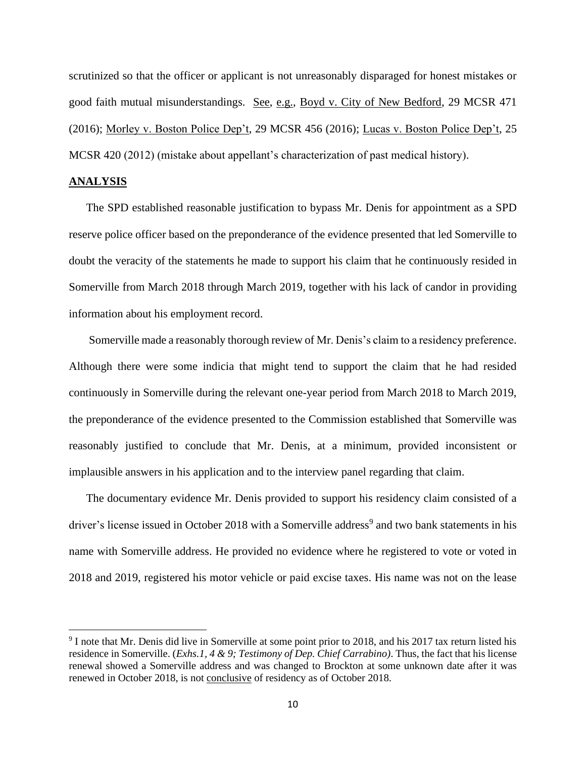scrutinized so that the officer or applicant is not unreasonably disparaged for honest mistakes or good faith mutual misunderstandings. See, e.g., Boyd v. City of New Bedford, 29 MCSR 471 (2016); Morley v. Boston Police Dep't, 29 MCSR 456 (2016); Lucas v. Boston Police Dep't, 25 MCSR 420 (2012) (mistake about appellant's characterization of past medical history).

### **ANALYSIS**

The SPD established reasonable justification to bypass Mr. Denis for appointment as a SPD reserve police officer based on the preponderance of the evidence presented that led Somerville to doubt the veracity of the statements he made to support his claim that he continuously resided in Somerville from March 2018 through March 2019, together with his lack of candor in providing information about his employment record.

Somerville made a reasonably thorough review of Mr. Denis's claim to a residency preference. Although there were some indicia that might tend to support the claim that he had resided continuously in Somerville during the relevant one-year period from March 2018 to March 2019, the preponderance of the evidence presented to the Commission established that Somerville was reasonably justified to conclude that Mr. Denis, at a minimum, provided inconsistent or implausible answers in his application and to the interview panel regarding that claim.

The documentary evidence Mr. Denis provided to support his residency claim consisted of a driver's license issued in October 2018 with a Somerville address<sup>9</sup> and two bank statements in his name with Somerville address. He provided no evidence where he registered to vote or voted in 2018 and 2019, registered his motor vehicle or paid excise taxes. His name was not on the lease

<sup>&</sup>lt;sup>9</sup> I note that Mr. Denis did live in Somerville at some point prior to 2018, and his 2017 tax return listed his residence in Somerville. (*Exhs.1, 4 & 9; Testimony of Dep. Chief Carrabino)*. Thus, the fact that his license renewal showed a Somerville address and was changed to Brockton at some unknown date after it was renewed in October 2018, is not conclusive of residency as of October 2018.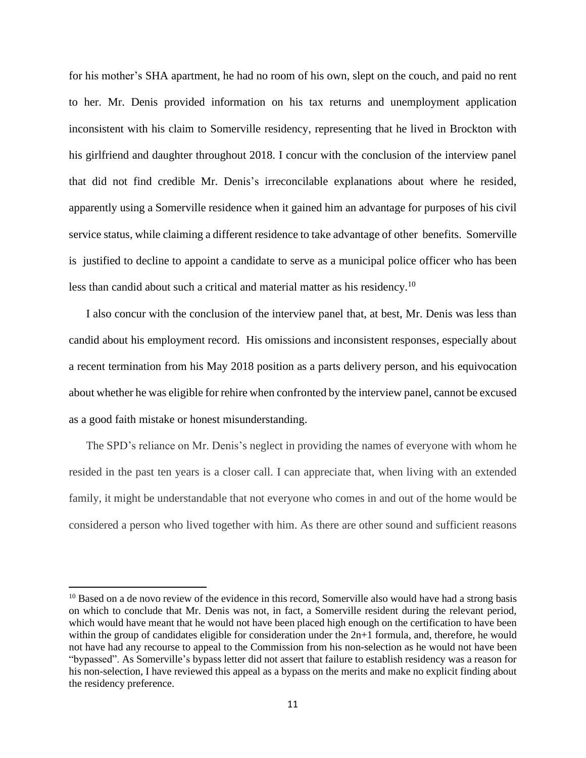for his mother's SHA apartment, he had no room of his own, slept on the couch, and paid no rent to her. Mr. Denis provided information on his tax returns and unemployment application inconsistent with his claim to Somerville residency, representing that he lived in Brockton with his girlfriend and daughter throughout 2018. I concur with the conclusion of the interview panel that did not find credible Mr. Denis's irreconcilable explanations about where he resided, apparently using a Somerville residence when it gained him an advantage for purposes of his civil service status, while claiming a different residence to take advantage of other benefits. Somerville is justified to decline to appoint a candidate to serve as a municipal police officer who has been less than candid about such a critical and material matter as his residency.<sup>10</sup>

I also concur with the conclusion of the interview panel that, at best, Mr. Denis was less than candid about his employment record. His omissions and inconsistent responses, especially about a recent termination from his May 2018 position as a parts delivery person, and his equivocation about whether he was eligible for rehire when confronted by the interview panel, cannot be excused as a good faith mistake or honest misunderstanding.

The SPD's reliance on Mr. Denis's neglect in providing the names of everyone with whom he resided in the past ten years is a closer call. I can appreciate that, when living with an extended family, it might be understandable that not everyone who comes in and out of the home would be considered a person who lived together with him. As there are other sound and sufficient reasons

 $10$  Based on a de novo review of the evidence in this record, Somerville also would have had a strong basis on which to conclude that Mr. Denis was not, in fact, a Somerville resident during the relevant period, which would have meant that he would not have been placed high enough on the certification to have been within the group of candidates eligible for consideration under the  $2n+1$  formula, and, therefore, he would not have had any recourse to appeal to the Commission from his non-selection as he would not have been "bypassed". As Somerville's bypass letter did not assert that failure to establish residency was a reason for his non-selection, I have reviewed this appeal as a bypass on the merits and make no explicit finding about the residency preference.